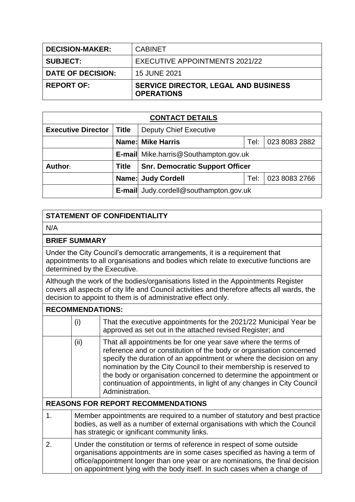| <b>DECISION-MAKER:</b>   | <b>CABINET</b>                                                   |
|--------------------------|------------------------------------------------------------------|
| <b>SUBJECT:</b>          | EXECUTIVE APPOINTMENTS 2021/22                                   |
| <b>DATE OF DECISION:</b> | 15 JUNE 2021                                                     |
| <b>REPORT OF:</b>        | <b>SERVICE DIRECTOR, LEGAL AND BUSINESS</b><br><b>OPERATIONS</b> |

| <b>CONTACT DETAILS</b>    |              |                                                   |      |               |  |
|---------------------------|--------------|---------------------------------------------------|------|---------------|--|
| <b>Executive Director</b> | Title        | <b>Deputy Chief Executive</b>                     |      |               |  |
|                           |              | <b>Name: Mike Harris</b><br>023 8083 2882<br>Tel: |      |               |  |
|                           |              | E-mail Mike.harris@Southampton.gov.uk             |      |               |  |
| Author:                   | <b>Title</b> | <b>Snr. Democratic Support Officer</b>            |      |               |  |
|                           |              | <b>Name: Judy Cordell</b>                         | Tel: | 023 8083 2766 |  |
|                           |              | <b>E-mail</b> Judy.cordell@southampton.gov.uk     |      |               |  |

## **STATEMENT OF CONFIDENTIALITY**

N/A

## **BRIEF SUMMARY**

Under the City Council's democratic arrangements, it is a requirement that appointments to all organisations and bodies which relate to executive functions are determined by the Executive.

Although the work of the bodies/organisations listed in the Appointments Register covers all aspects of city life and Council activities and therefore affects all wards, the decision to appoint to them is of administrative effect only.

| <b>RECOMMENDATIONS:</b>                   |                                                                                                                                                                                                                                                                                                                      |                                                                                                                                                                                                                                                                                                                                                                                                                                                    |  |
|-------------------------------------------|----------------------------------------------------------------------------------------------------------------------------------------------------------------------------------------------------------------------------------------------------------------------------------------------------------------------|----------------------------------------------------------------------------------------------------------------------------------------------------------------------------------------------------------------------------------------------------------------------------------------------------------------------------------------------------------------------------------------------------------------------------------------------------|--|
|                                           | (i)                                                                                                                                                                                                                                                                                                                  | That the executive appointments for the 2021/22 Municipal Year be<br>approved as set out in the attached revised Register; and                                                                                                                                                                                                                                                                                                                     |  |
|                                           | (ii)                                                                                                                                                                                                                                                                                                                 | That all appointments be for one year save where the terms of<br>reference and or constitution of the body or organisation concerned<br>specify the duration of an appointment or where the decision on any<br>nomination by the City Council to their membership is reserved to<br>the body or organisation concerned to determine the appointment or<br>continuation of appointments, in light of any changes in City Council<br>Administration. |  |
| <b>REASONS FOR REPORT RECOMMENDATIONS</b> |                                                                                                                                                                                                                                                                                                                      |                                                                                                                                                                                                                                                                                                                                                                                                                                                    |  |
| 1.                                        | Member appointments are required to a number of statutory and best practice<br>bodies, as well as a number of external organisations with which the Council<br>has strategic or ignificant community links.                                                                                                          |                                                                                                                                                                                                                                                                                                                                                                                                                                                    |  |
| 2.                                        | Under the constitution or terms of reference in respect of some outside<br>organisations appointments are in some cases specified as having a term of<br>office/appointment longer than one year or are nominations, the final decision<br>on appointment lying with the body itself. In such cases when a change of |                                                                                                                                                                                                                                                                                                                                                                                                                                                    |  |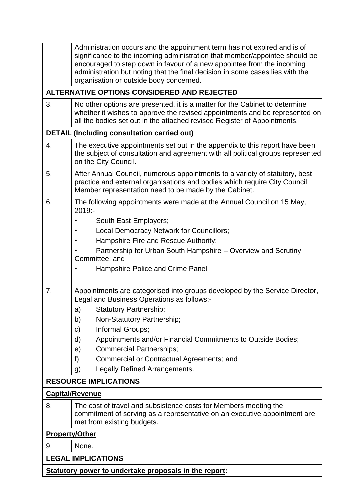|                                                       | Administration occurs and the appointment term has not expired and is of<br>significance to the incoming administration that member/appointee should be<br>encouraged to step down in favour of a new appointee from the incoming      |  |  |  |
|-------------------------------------------------------|----------------------------------------------------------------------------------------------------------------------------------------------------------------------------------------------------------------------------------------|--|--|--|
|                                                       | administration but noting that the final decision in some cases lies with the<br>organisation or outside body concerned.                                                                                                               |  |  |  |
|                                                       | ALTERNATIVE OPTIONS CONSIDERED AND REJECTED                                                                                                                                                                                            |  |  |  |
| 3.                                                    | No other options are presented, it is a matter for the Cabinet to determine<br>whether it wishes to approve the revised appointments and be represented on<br>all the bodies set out in the attached revised Register of Appointments. |  |  |  |
|                                                       | <b>DETAIL (Including consultation carried out)</b>                                                                                                                                                                                     |  |  |  |
| 4.                                                    | The executive appointments set out in the appendix to this report have been<br>the subject of consultation and agreement with all political groups represented<br>on the City Council.                                                 |  |  |  |
| 5.                                                    | After Annual Council, numerous appointments to a variety of statutory, best<br>practice and external organisations and bodies which require City Council<br>Member representation need to be made by the Cabinet.                      |  |  |  |
| 6.                                                    | The following appointments were made at the Annual Council on 15 May,<br>2019:-                                                                                                                                                        |  |  |  |
|                                                       | South East Employers;                                                                                                                                                                                                                  |  |  |  |
|                                                       | Local Democracy Network for Councillors;                                                                                                                                                                                               |  |  |  |
|                                                       | Hampshire Fire and Rescue Authority;                                                                                                                                                                                                   |  |  |  |
|                                                       | Partnership for Urban South Hampshire - Overview and Scrutiny<br>Committee; and                                                                                                                                                        |  |  |  |
|                                                       | Hampshire Police and Crime Panel                                                                                                                                                                                                       |  |  |  |
| 7.                                                    | Appointments are categorised into groups developed by the Service Director,<br>Legal and Business Operations as follows:-                                                                                                              |  |  |  |
|                                                       | <b>Statutory Partnership;</b><br>a)                                                                                                                                                                                                    |  |  |  |
|                                                       | Non-Statutory Partnership;<br>b)                                                                                                                                                                                                       |  |  |  |
|                                                       | Informal Groups;<br>C)                                                                                                                                                                                                                 |  |  |  |
|                                                       | Appointments and/or Financial Commitments to Outside Bodies;<br>d)                                                                                                                                                                     |  |  |  |
|                                                       | <b>Commercial Partnerships;</b><br>e)                                                                                                                                                                                                  |  |  |  |
|                                                       | Commercial or Contractual Agreements; and<br>f)                                                                                                                                                                                        |  |  |  |
|                                                       | Legally Defined Arrangements.<br>g)                                                                                                                                                                                                    |  |  |  |
|                                                       | <b>RESOURCE IMPLICATIONS</b>                                                                                                                                                                                                           |  |  |  |
|                                                       | <b>Capital/Revenue</b>                                                                                                                                                                                                                 |  |  |  |
| 8.                                                    | The cost of travel and subsistence costs for Members meeting the<br>commitment of serving as a representative on an executive appointment are<br>met from existing budgets.                                                            |  |  |  |
| <b>Property/Other</b>                                 |                                                                                                                                                                                                                                        |  |  |  |
| 9.                                                    | None.                                                                                                                                                                                                                                  |  |  |  |
| <b>LEGAL IMPLICATIONS</b>                             |                                                                                                                                                                                                                                        |  |  |  |
| Statutory power to undertake proposals in the report: |                                                                                                                                                                                                                                        |  |  |  |